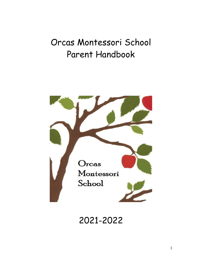# Orcas Montessori School Parent Handbook



2021-2022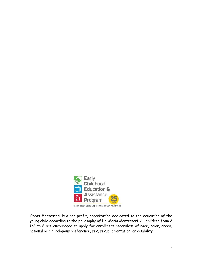

Orcas Montessori is a non-profit, organization dedicated to the education of the young child according to the philosophy of Dr. Maria Montessori. All children from 2 1/2 to 6 are encouraged to apply for enrollment regardless of race, color, creed, national origin, religious preference, sex, sexual orientation, or disability.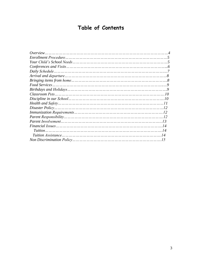# **Table of Contents**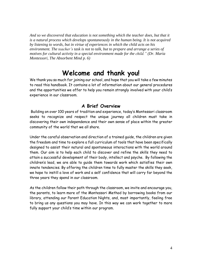*And so we discovered that education is not something which the teacher does, but that it is a natural process which develops spontaneously in the human being. It is not acquired by listening to words, but in virtue of experiences in which the child acts on his environment. The teacher's task is not to talk, but to prepare and arrange a series of motives for cultural activity in a special environment made for the child." (Dr. Maria Montessori, The Absorbent Mind p. 6)*

# **Welcome and thank you!**

We thank you so much for joining our school, and hope that you will take a few minutes to read this handbook. It contains a lot of information about our general procedures and the opportunities we offer to help you remain strongly involved with your child's experience in our classroom.

#### **A Brief Overview**

Building on over 100 years of tradition and experience, today's Montessori classroom seeks to recognize and respect the unique journey all children must take in discovering their own independence and their own sense of place within the greater community of the world that we all share.

Under the careful observation and direction of a trained guide, the children are given the freedom and time to explore a full curriculum of tools that have been specifically designed to assist their natural and spontaneous interactions with the world around them. Our aim is to help each child to discover and refine the skills they need to attain a successful development of their body, intellect and psyche. By following the children's lead, we are able to guide them towards work which satisfies their own innate tendencies. By offering the children time to fully master the skills they seek, we hope to instill a love of work and a self confidence that will carry far beyond the three years they spend in our classroom.

As the children follow their path through the classroom, we invite and encourage you, the parents, to learn more of the Montessori Method by borrowing books from our library, attending our Parent Education Nights, and, most importantly, feeling free to bring us any questions you may have. In this way we can work together to more fully support your child's time within our program.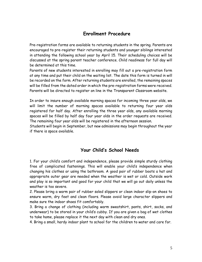#### **Enrollment Procedure**

Pre-registration forms are available to returning students in the spring. Parents are encouraged to pre-register their returning students and younger siblings interested in attending the following school year by April 15. Their scheduling choices will be discussed at the spring parent teacher conference. Child readiness for full day will be determined at this time.

Parents of new students interested in enrolling may fill out a pre-registration form at any time and put their child on the waiting list. The date this form is turned in will be recorded on the form. After returning students are enrolled, the remaining spaces will be filled from the dated order in which the pre-registration forms were received. Parents will be directed to register on line in the Transparent Classroom website.

In order to insure enough available morning spaces for incoming three year olds, we will limit the number of morning spaces available to returning four year olds registered for half day. After enrolling the three year olds, any available morning spaces will be filled by half day four year olds in the order requests are received. The remaining four year olds will be registered in the afternoon session.

Students will begin in September, but new admissions may begin throughout the year if there is space available.

## **Your Child's School Needs**

1. For your child's comfort and independence, please provide simple sturdy clothing free of complicated fastenings. This will enable your child's independence when changing his clothes or using the bathroom. A good pair of rubber boots a hat and appropriate outer gear are needed when the weather is wet or cold. Outside work and play is so important and good for your child that we will go out daily unless the weather is too severe.

2. Please bring a warm pair of rubber soled slippers or clean indoor slip-on shoes to ensure warm, dry feet and clean floors. Please avoid large character slippers and make sure the indoor shoes fit comfortably.

3. Bring a change of clothing (including warm sweatshirt, pants, shirt, socks, and underwear) to be stored in your child's cubby. If you are given a bag of wet clothes to take home, please replace it the next day with clean and dry ones.

4. Bring a small, hardy indoor plant to school for the children to water and care for.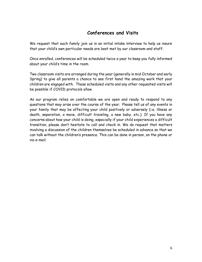# **Conferences and Visits**

We request that each family join us in an initial intake interview to help us insure that your child's own particular needs are best met by our classroom and staff.

Once enrolled, conferences will be scheduled twice a year to keep you fully informed about your child's time in the room.

Two classroom visits are arranged during the year (generally in mid October and early Spring) to give all parents a chance to see first hand the amazing work that your children are engaged with. These scheduled visits and any other requested visits will be possible if COVID protocols allow.

As our program relies on comfortable we are open and ready to respond to any questions that may arise over the course of the year. Please tell us of any events in your family that may be affecting your child positively or adversely (i.e. illness or death, separation, a move, difficult traveling, a new baby, etc.). If you have any concerns about how your child is doing, especially if your child experiences a difficult transition, please don't hesitate to call and check in. We do request that matters involving a discussion of the children themselves be scheduled in advance so that we can talk without the children's presence. This can be done in person, on the phone or via e-mail.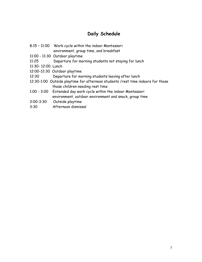# **Daily Schedule**

- 8:15 11:00 Work cycle within the indoor Montessori environment, group time, and breakfast
- 11:00 11:30 Outdoor playtime
- 11:25 Departure for morning students not staying for lunch
- 11:30- 12:00 Lunch
- 12:00-12:30 Outdoor playtime
- 12:30 Departure for morning students leaving after lunch
- 12:30-1:00 Outside playtime for afternoon students /rest time indoors for those those children needing rest time
- 1:00 3:00 Extended day work cycle within the indoor Montessori environment, outdoor environment and snack, group time
- 3:00-3:30 Outside playtime
- 3:30 Afternoon dismissal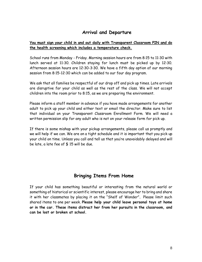#### **Arrival and Departure**

#### **You must sign your child in and out daily with Transparent Classroom PIN and do the health screening which includes a temperature check.**

School runs from Monday - Friday. Morning session hours are from 8:15 to 11:30 with lunch served at 11:30. Children staying for lunch must be picked up by 12:30. Afternoon session hours are 12:30-3:30. We have a fifth day option of our morning session from 8:15-12:30 which can be added to our four day program.

We ask that all families be respectful of our drop off and pick up times. Late arrivals are disruptive for your child as well as the rest of the class. We will not accept children into the room prior to 8:15, as we are preparing the environment.

Please inform a staff member in advance if you have made arrangements for another adult to pick up your child and either text or email the director. Make sure to list that individual on your Transparent Classroom Enrollment Form. We will need a written permission slip for any adult who is not on your release form for pick up.

If there is some mishap with your pickup arrangements, please call us promptly and we will help if we can. We are on a tight schedule and it is important that you pick up your child on time. Unless you call and tell us that you're unavoidably delayed and will be late, a late fee of \$ 15 will be due.

# **Bringing Items From Home**

If your child has something beautiful or interesting from the natural world or something of historical or scientific interest, please encourage her to bring and share it with her classmates by placing it on the "Shelf of Wonder"**.** Please limit such shared items to one per week. **Please help your child leave personal toys at home or in the car. These items distract her from her pursuits in the classroom, and can be lost or broken at school.**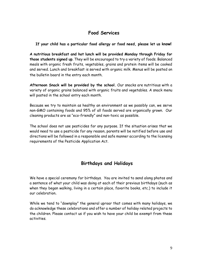# **Food Services**

**If your child has a particular food allergy or food need, please let us know!**

**A nutritious breakfast and hot lunch will be provided Monday through Friday for those students signed up**. They will be encouraged to try a variety of foods. Balanced meals with organic fresh fruits, vegetables, grains and protein items will be cooked and served. Lunch and breakfast is served with organic milk. Menus will be posted on the bulletin board in the entry each month.

**Afternoon Snack will be provided by the school.** Our snacks are nutritious with a variety of organic grains balanced with organic fruits and vegetables. A snack menu will posted in the school entry each month.

Because we try to maintain as healthy an environment as we possibly can, we serve non-GMO containing foods and 95% of all foods served are organically grown. Our cleaning products are as "eco-friendly" and non-toxic as possible.

The school does not use pesticides for any purpose. If the situation arises that we would need to use a pesticide for any reason, parents will be notified before use and directions will be followed in a responsible and safe manner according to the licensing requirements of the Pesticide Application Act.

# **Birthdays and Holidays**

We have a special ceremony for birthdays. You are invited to send along photos and a sentence of what your child was doing at each of their previous birthdays (such as when they began walking, living in a certain place, favorite books, etc.) to include it our celebration.

While we tend to "downplay" the general uproar that comes with many holidays, we do acknowledge these celebrations and offer a number of holiday related projects to the children. Please contact us if you wish to have your child be exempt from these activities.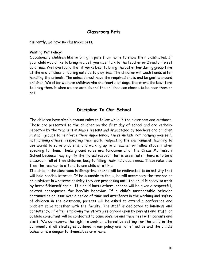#### **Classroom Pets**

Currently, we have no classroom pets.

#### **Visiting Pet Policy:**

Occasionally children like to bring in pets from home to show their classmates. If your child would like to bring in a pet, you must talk to the teacher or Director to set up a time. We have found that it works best to bring the pet either during group time at the end of class or during outside to playtime. The children will wash hands after handling the animals. The animals must have the required shots and be gentle around children. We often we have children who are fearful of dogs, therefore the best time to bring them is when we are outside and the children can choose to be near them or not.

#### **Discipline In Our School**

The children have simple ground rules to follow while in the classroom and outdoors. These are presented to the children on the first day of school and are verbally repeated by the teachers in simple lessons and dramatized by teachers and children in small groups to reinforce their importance. These include not harming yourself, not harming others, respecting their work, respecting the environment, learning to use words to solve problems, and walking up to a teacher or fellow student when speaking to them. These ground rules are fundamental at the Orcas Montessori School because they signify the mutual respect that is essential if there is to be a classroom full of free children, busy fulfilling their individual needs. These rules also free the teacher to attend to one child at a time.

If a child in the classroom is disruptive, she/he will be redirected to an activity that will hold her/his interest. If he is unable to focus, he will accompany the teacher or an assistant in whatever activity they are presenting until the child is ready to work by herself/himself again. If a child hurts others, she/he will be given a respectful, related consequence for her/his behavior. If a child's unacceptable behavior continues as an issue over a period of time and interferes in the working and safety of children in the classroom, parents will be asked to attend a conference and problem solve together with the faculty. The staff is dedicated to kindness and consistency. If after employing the strategies agreed upon by parents and staff, an outside consultant will be contacted to come observe and then meet with parents and staff. We do reserve the right to seek an alternative setting for the child in the community if all strategies outlined in our policy are not effective and the child's behavior is a danger to themselves or others.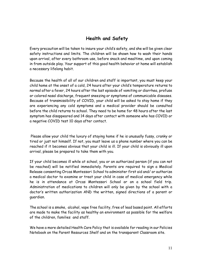# **Health and Safety**

Every precaution will be taken to insure your child's safety, and she will be given clear safety instructions and limits. The children will be shown how to wash their hands upon arrival, after every bathroom use, before snack and mealtime, and upon coming in from outside play. Your support of this good health behavior at home will establish a necessary lifelong habit.

Because the health of all of our children and staff is important, you must keep your child home at the onset of a cold, 24 hours after your child's temperature returns to normal after a fever, 24 hours after the last episode of vomiting or diarrhea, profuse or colored nasal discharge, frequent sneezing or symptoms of communicable diseases. Because of transmissibility of COVID, your child will be asked to stay home if they are experiencing any cold symptoms and a medical provider should be consulted before the child returns to school. They need to be home for 48 hours after the last symptom has disappeared and 14 days after contact with someone who has COVID or a negative COVID test 10 days after contact.

Please allow your child the luxury of staying home if he is unusually fussy, cranky or tired or just not himself. If not, you must leave us a phone number where you can be reached if it becomes obvious that your child is ill. If your child is obviously ill upon arrival, please be prepared to take them with you.

If your child becomes ill while at school, you or an authorized person (if you can not be reached) will be notified immediately. Parents are required to sign a Medical Release consenting Orcas Montessori School to administer first aid and/ or authorize a medical doctor to examine or treat your child in case of medical emergency while he is in attendance at Orcas Montessori School or on a school field trip. Administration of medications to children will only be given by the school with a doctor's written authorization AND the written, signed directions of a parent or guardian.

The school is a smoke, alcohol, vape free facility, free of lead based paint. All efforts are made to make the facility as healthy an environment as possible for the welfare of the children, families and staff.

We have a more detailed Health Care Policy that is available for reading in our Policies Notebook on the Parent Resources Shelf and on the transparent Classroom site.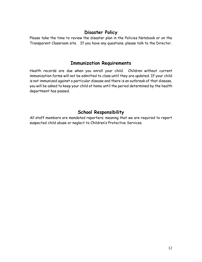#### **Disaster Policy**

Please take the time to review the disaster plan in the Policies Notebook or on the Transparent Classroom site. If you have any questions, please talk to the Director.

#### **Immunization Requirements**

Health records are due when you enroll your child. Children without current immunization forms will not be admitted to class until they are updated. If your child is not immunized against a particular disease and there is an outbreak of that disease, you will be asked to keep your child at home until the period determined by the health department has passed.

# **School Responsibility**

All staff members are mandated reporters; meaning that we are required to report suspected child abuse or neglect to Children's Protective Services.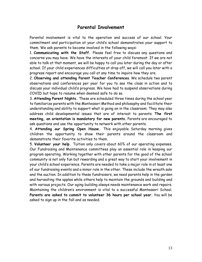#### **Parental Involvement**

Parental involvement is vital to the operation and success of our school. Your commitment and participation at your child's school demonstrates your support to them. We ask parents to become involved in the following ways:

1. **Communicating with the Staff.** Please feel free to discuss any questions and concerns you may have. We have the interests of your child foremost. If we are not able to talk at that moment, we will be happy to call you later during the day or after school. If your child experiences difficulties at drop off, we will call you later with a progress report and encourage you call at any time to inquire how they are.

2. **Observing and attending Parent Teacher Conferences**. We schedule two parent observations and conferences per year for you to see the class in action and to discuss your individual child's progress. We have had to suspend observations during COVID but hope to resume when deemed safe to do so.

3. **Attending Parent Nights.** These are scheduled three times during the school year to familiarize parents with the Montessori Method and philosophy and facilitate their understanding and ability to support what is going on in the classroom. They may also address child developmental issues that are of interest to parents. **The first meeting, an orientation is mandatory for new parents.** Parents are encouraged to ask questions and use the opportunity to network with other parents.

4. **Attending our Spring Open House.** This enjoyable Saturday morning gives children the opportunity to show their parents around the classroom and demonstrate their favorite activities to them.

5. **Volunteer your help.** Tuition only covers about 60% of our operating expenses. Our Fundraising and Maintenance committees play an essential role in keeping our program operating. Working together with other parents for the good of the school community is not only fun but rewarding and a great way to start your involvement in your child's school experience. Parents are needed to take a major role in at least one of our fundraising events and a minor role in the other. These include the wreath sale and the auction. In addition to these fundraisers, we need parents help in the garden and harvesting the apples while others help to maintain the grounds and building and with various projects. Our aging building always needs maintenance work and repairs. Maintaining the children's environment is vital to a successful Montessori School. **Parents are asked to commit to volunteer 36 hours per school year.** You will be asked to sign up in the fall and as needed.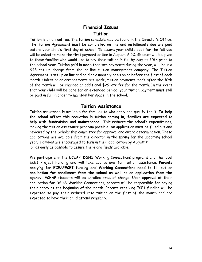# **Financial Issues Tuition**

Tuition is an annual fee. The tuition schedule may be found in the Director's Office. The Tuition Agreement must be completed on line and installments due are paid before your child's first day of school. To assure your child's spot for the fall you will be asked to make the first payment on line in August. A 5% discount will be given to those families who would like to pay their tuition in full by August 20th prior to the school year. Tuition paid in more than two payments during the year, will incur a \$45 set up charge from the on-line tuition management company. The Tuition Agreement is set up on line and paid on a monthly basis on or before the first of each month. Unless prior arrangements are made, tuition payments made after the 10th of the month will be charged an additional \$29 late fee for the month. In the event that your child will be gone for an extended period, your tuition payment must still be paid in full in order to maintain her space in the school.

#### **Tuition Assistance**

Tuition assistance is available for families to who apply and qualify for it. **To help the school offset this reduction in tuition coming in, families are expected to help with fundraising and maintenance.** This reduces the school's expenditures, making the tuition assistance program possible. An application must be filled out and reviewed by the Scholarship committee for approval and award determination. These applications are available from the director in the spring for the upcoming school year. Families are encouraged to turn in their application by August  $1^\mathrm{st}$ or as early as possible to assure there are funds available.

We participate in the ECEAP, DSHS Working Connections programs and the local ECEI Project Funding and will take applications for tuition assistance. **Parents applying for ECEAPECEI funding and Working Connections need to fill out an application for enrollment from the school as well as an application from the agency.** ECEAP students will be enrolled free of charge. Upon approval of their application for DSHS Working Connections, parents will be responsible for paying their copay at the beginning of the month. Parents receiving ECEI funding will be expected to pay their reduced rate tuition on the first of the month and are expected to have their child attend regularly.